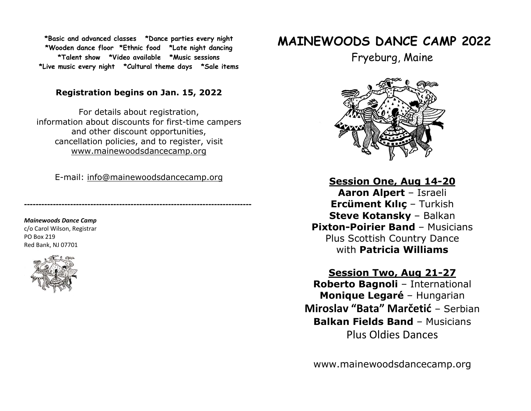\*Basic and advanced classes \*Dance parties every night \*Wooden dance floor \*Ethnic food \*Late night dancing \*Talent show \*Video available \*Music sessions \*Live music every night \*Cultural theme days \*Sale items

### Registration begins on Jan. 15, 2022

For details about registration, information about discounts for first-time campers and other discount opportunities, cancellation policies, and to register, visit www.mainewoodsdancecamp.org

E-mail: info@mainewoodsdancecamp.org

-------------------------------------------------------------------------------

Mainewoods Dance Camp c/o Carol Wilson, Registrar PO Box 219 Red Bank, NJ 07701



# MAINEWOODS DANCE CAMP 2022

Fryeburg, Maine



Session One, Aug 14-20 Aaron Alpert – Israeli Ercüment Kılıç – Turkish Steve Kotansky – Balkan Pixton-Poirier Band – Musicians Plus Scottish Country Dance with Patricia Williams

## Session Two, Aug 21-27

Roberto Bagnoli – International Monique Legaré – Hungarian Miroslav "Bata" Marčetić – Serbian Balkan Fields Band – Musicians Plus Oldies Dances

www.mainewoodsdancecamp.org